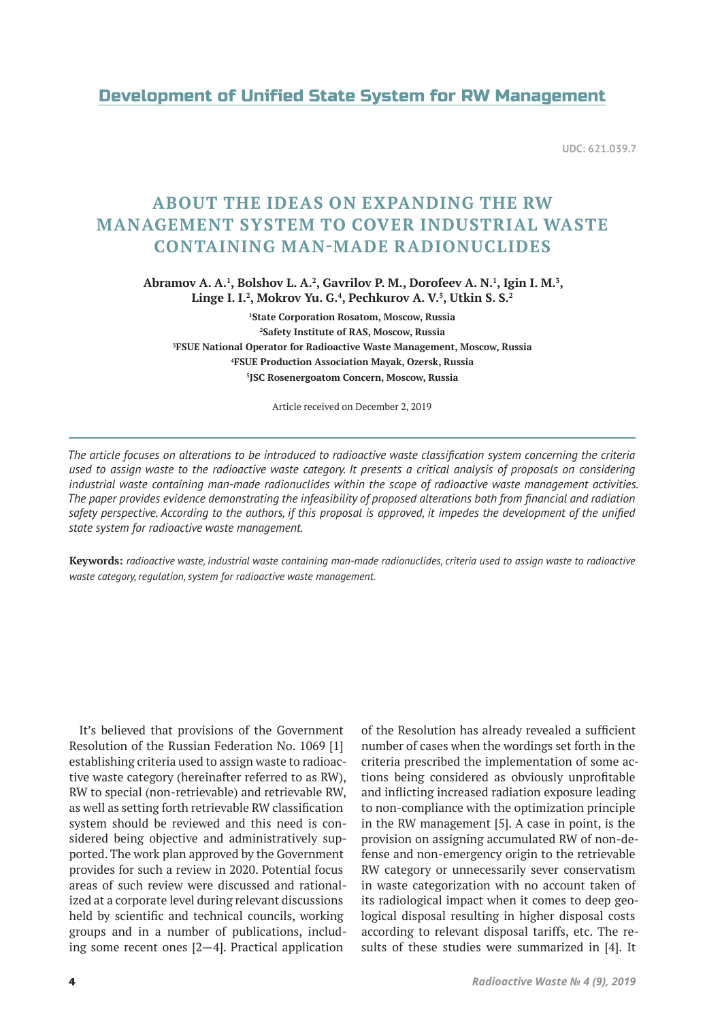# Development of Unified State System for RW Management

**UDC: 621.039.7**

# **ABOUT THE IDEAS ON EXPANDING THE RW MANAGEMENT SYSTEM TO COVER INDUSTRIAL WASTE CONTAINING MAN-MADE RADIONUCLIDES**

Abramov A. A.<sup>1</sup>, Bolshov L. A.<sup>2</sup>, Gavrilov P. M., Dorofeev A. N.<sup>1</sup>, Igin I. M.<sup>3</sup>, **Linge I. I.2 , Mokrov Yu. G.4 , Pechkurov A. V.5 , Utkin S. S.2**

 **State Corporation Rosatom, Moscow, Russia Safety Institute of RAS, Moscow, Russia FSUE National Operator for Radioactive Waste Management, Moscow, Russia FSUE Production Association Mayak, Ozersk, Russia JSC Rosenergoatom Concern, Moscow, Russia**

Article received on December 2, 2019

*The article focuses on alterations to be introduced to radioactive waste classification system concerning the criteria used to assign waste to the radioactive waste category. It presents a critical analysis of proposals on considering industrial waste containing man-made radionuclides within the scope of radioactive waste management activities. The paper provides evidence demonstrating the infeasibility of proposed alterations both from financial and radiation safety perspective. According to the authors, if this proposal is approved, it impedes the development of the unified state system for radioactive waste management.*

**Keywords:** *radioactive waste, industrial waste containing man-made radionuclides, criteria used to assign waste to radioactive waste category, regulation, system for radioactive waste management.*

It's believed that provisions of the Government Resolution of the Russian Federation No. 1069 [1] establishing criteria used to assign waste to radioactive waste category (hereinafter referred to as RW), RW to special (non-retrievable) and retrievable RW, as well as setting forth retrievable RW classification system should be reviewed and this need is considered being objective and administratively supported. The work plan approved by the Government provides for such a review in 2020. Potential focus areas of such review were discussed and rationalized at a corporate level during relevant discussions held by scientific and technical councils, working groups and in a number of publications, including some recent ones [2—4]. Practical application

of the Resolution has already revealed a sufficient number of cases when the wordings set forth in the criteria prescribed the implementation of some actions being considered as obviously unprofitable and inflicting increased radiation exposure leading to non-compliance with the optimization principle in the RW management [5]. A case in point, is the provision on assigning accumulated RW of non-defense and non-emergency origin to the retrievable RW category or unnecessarily sever conservatism in waste categorization with no account taken of its radiological impact when it comes to deep geological disposal resulting in higher disposal costs according to relevant disposal tariffs, etc. The results of these studies were summarized in [4]. It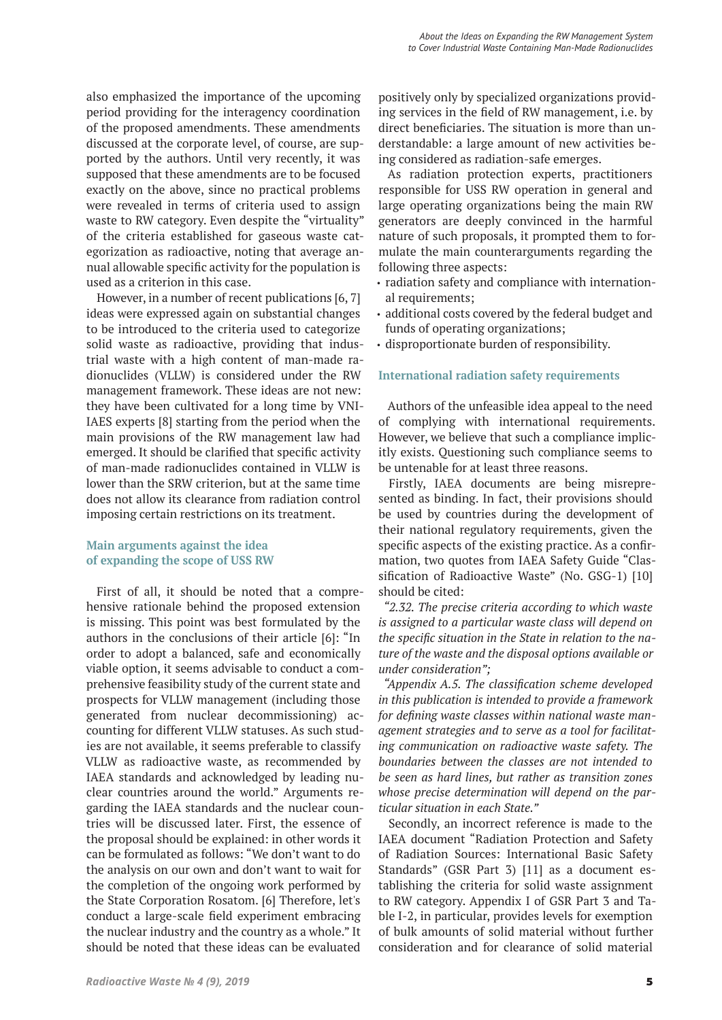also emphasized the importance of the upcoming period providing for the interagency coordination of the proposed amendments. These amendments discussed at the corporate level, of course, are supported by the authors. Until very recently, it was supposed that these amendments are to be focused exactly on the above, since no practical problems were revealed in terms of criteria used to assign waste to RW category. Even despite the "virtuality" of the criteria established for gaseous waste categorization as radioactive, noting that average annual allowable specific activity for the population is used as a criterion in this case.

However, in a number of recent publications [6, 7] ideas were expressed again on substantial changes to be introduced to the criteria used to categorize solid waste as radioactive, providing that industrial waste with a high content of man-made radionuclides (VLLW) is considered under the RW management framework. These ideas are not new: they have been cultivated for a long time by VNI-IAES experts [8] starting from the period when the main provisions of the RW management law had emerged. It should be clarified that specific activity of man-made radionuclides contained in VLLW is lower than the SRW criterion, but at the same time does not allow its clearance from radiation control imposing certain restrictions on its treatment.

# **Main arguments against the idea of expanding the scope of USS RW**

First of all, it should be noted that a comprehensive rationale behind the proposed extension is missing. This point was best formulated by the authors in the conclusions of their article [6]: "In order to adopt a balanced, safe and economically viable option, it seems advisable to conduct a comprehensive feasibility study of the current state and prospects for VLLW management (including those generated from nuclear decommissioning) accounting for different VLLW statuses. As such studies are not available, it seems preferable to classify VLLW as radioactive waste, as recommended by IAEA standards and acknowledged by leading nuclear countries around the world." Arguments regarding the IAEA standards and the nuclear countries will be discussed later. First, the essence of the proposal should be explained: in other words it can be formulated as follows: "We don't want to do the analysis on our own and don't want to wait for the completion of the ongoing work performed by the State Corporation Rosatom. [6] Therefore, let's conduct a large-scale field experiment embracing the nuclear industry and the country as a whole." It should be noted that these ideas can be evaluated

positively only by specialized organizations providing services in the field of RW management, i.e. by direct beneficiaries. The situation is more than understandable: a large amount of new activities being considered as radiation-safe emerges.

As radiation protection experts, practitioners responsible for USS RW operation in general and large operating organizations being the main RW generators are deeply convinced in the harmful nature of such proposals, it prompted them to formulate the main counterarguments regarding the following three aspects:

- radiation safety and compliance with international requirements;
- additional costs covered by the federal budget and funds of operating organizations;
- disproportionate burden of responsibility.

# **International radiation safety requirements**

Authors of the unfeasible idea appeal to the need of complying with international requirements. However, we believe that such a compliance implicitly exists. Questioning such compliance seems to be untenable for at least three reasons.

Firstly, IAEA documents are being misrepresented as binding. In fact, their provisions should be used by countries during the development of their national regulatory requirements, given the specific aspects of the existing practice. As a confirmation, two quotes from IAEA Safety Guide "Classification of Radioactive Waste" (No. GSG-1) [10] should be cited:

*"2.32. The precise criteria according to which waste is assigned to a particular waste class will depend on the specific situation in the State in relation to the nature of the waste and the disposal options available or under consideration";*

*"Appendix A.5. The classification scheme developed in this publication is intended to provide a framework for defining waste classes within national waste management strategies and to serve as a tool for facilitating communication on radioactive waste safety. The boundaries between the classes are not intended to be seen as hard lines, but rather as transition zones whose precise determination will depend on the particular situation in each State."*

Secondly, an incorrect reference is made to the IAEA document "Radiation Protection and Safety of Radiation Sources: International Basic Safety Standards" (GSR Part 3) [11] as a document establishing the criteria for solid waste assignment to RW category. Appendix I of GSR Part 3 and Table I-2, in particular, provides levels for exemption of bulk amounts of solid material without further consideration and for clearance of solid material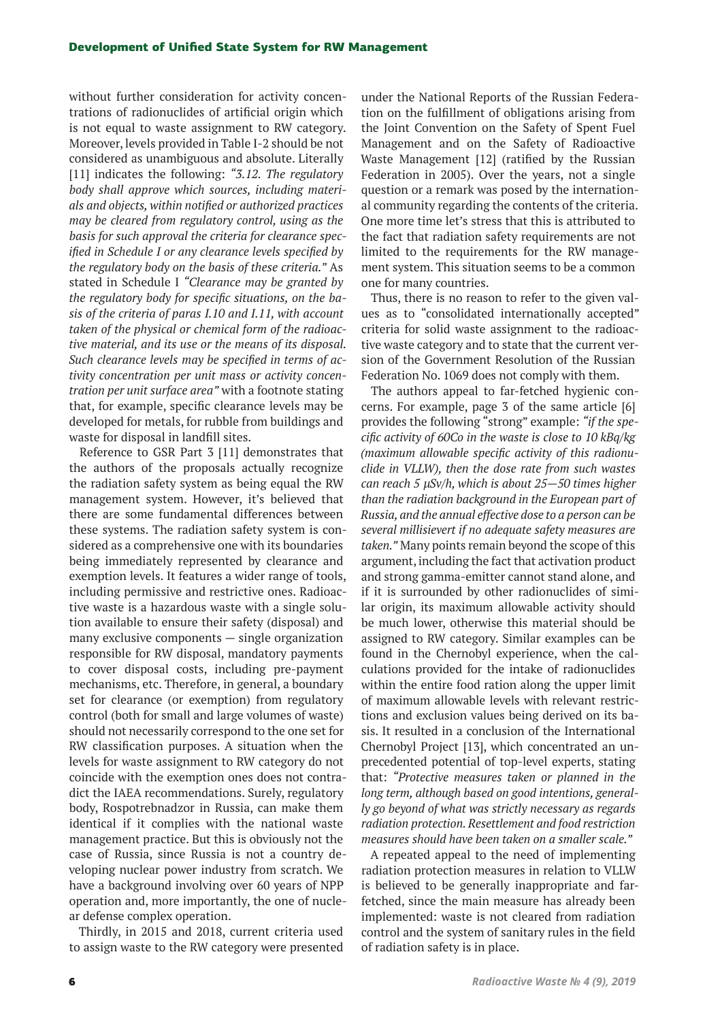#### Development of Unified State System for RW Management

without further consideration for activity concentrations of radionuclides of artificial origin which is not equal to waste assignment to RW category. Moreover, levels provided in Table I-2 should be not considered as unambiguous and absolute. Literally [11] indicates the following: *"3.12. The regulatory body shall approve which sources, including materials and objects, within notified or authorized practices may be cleared from regulatory control, using as the basis for such approval the criteria for clearance specified in Schedule I or any clearance levels specified by the regulatory body on the basis of these criteria."* As stated in Schedule I *"Clearance may be granted by the regulatory body for specific situations, on the basis of the criteria of paras I.10 and I.11, with account taken of the physical or chemical form of the radioactive material, and its use or the means of its disposal. Such clearance levels may be specified in terms of activity concentration per unit mass or activity concentration per unit surface area"* with a footnote stating that, for example, specific clearance levels may be developed for metals, for rubble from buildings and waste for disposal in landfill sites.

Reference to GSR Part 3 [11] demonstrates that the authors of the proposals actually recognize the radiation safety system as being equal the RW management system. However, it's believed that there are some fundamental differences between these systems. The radiation safety system is considered as a comprehensive one with its boundaries being immediately represented by clearance and exemption levels. It features a wider range of tools, including permissive and restrictive ones. Radioactive waste is a hazardous waste with a single solution available to ensure their safety (disposal) and many exclusive components — single organization responsible for RW disposal, mandatory payments to cover disposal costs, including pre-payment mechanisms, etc. Therefore, in general, a boundary set for clearance (or exemption) from regulatory control (both for small and large volumes of waste) should not necessarily correspond to the one set for RW classification purposes. A situation when the levels for waste assignment to RW category do not coincide with the exemption ones does not contradict the IAEA recommendations. Surely, regulatory body, Rospotrebnadzor in Russia, can make them identical if it complies with the national waste management practice. But this is obviously not the case of Russia, since Russia is not a country developing nuclear power industry from scratch. We have a background involving over 60 years of NPP operation and, more importantly, the one of nuclear defense complex operation.

Thirdly, in 2015 and 2018, current criteria used to assign waste to the RW category were presented

under the National Reports of the Russian Federation on the fulfillment of obligations arising from the Joint Convention on the Safety of Spent Fuel Management and on the Safety of Radioactive Waste Management [12] (ratified by the Russian Federation in 2005). Over the years, not a single question or a remark was posed by the international community regarding the contents of the criteria. One more time let's stress that this is attributed to the fact that radiation safety requirements are not limited to the requirements for the RW management system. This situation seems to be a common one for many countries.

Thus, there is no reason to refer to the given values as to "consolidated internationally accepted" criteria for solid waste assignment to the radioactive waste category and to state that the current version of the Government Resolution of the Russian Federation No. 1069 does not comply with them.

The authors appeal to far-fetched hygienic concerns. For example, page 3 of the same article [6] provides the following "strong" example: *"if the specific activity of 60Со in the waste is close to 10 kBq/kg (maximum allowable specific activity of this radionuclide in VLLW), then the dose rate from such wastes can reach 5 μSv/h, which is about 25—50 times higher than the radiation background in the European part of Russia, and the annual effective dose to a person can be several millisievert if no adequate safety measures are taken."* Many points remain beyond the scope of this argument, including the fact that activation product and strong gamma-emitter cannot stand alone, and if it is surrounded by other radionuclides of similar origin, its maximum allowable activity should be much lower, otherwise this material should be assigned to RW category. Similar examples can be found in the Chernobyl experience, when the calculations provided for the intake of radionuclides within the entire food ration along the upper limit of maximum allowable levels with relevant restrictions and exclusion values being derived on its basis. It resulted in a conclusion of the International Chernobyl Project [13], which concentrated an unprecedented potential of top-level experts, stating that: *"Protective measures taken or planned in the long term, although based on good intentions, generally go beyond of what was strictly necessary as regards radiation protection. Resettlement and food restriction measures should have been taken on a smaller scale."*

A repeated appeal to the need of implementing radiation protection measures in relation to VLLW is believed to be generally inappropriate and farfetched, since the main measure has already been implemented: waste is not cleared from radiation control and the system of sanitary rules in the field of radiation safety is in place.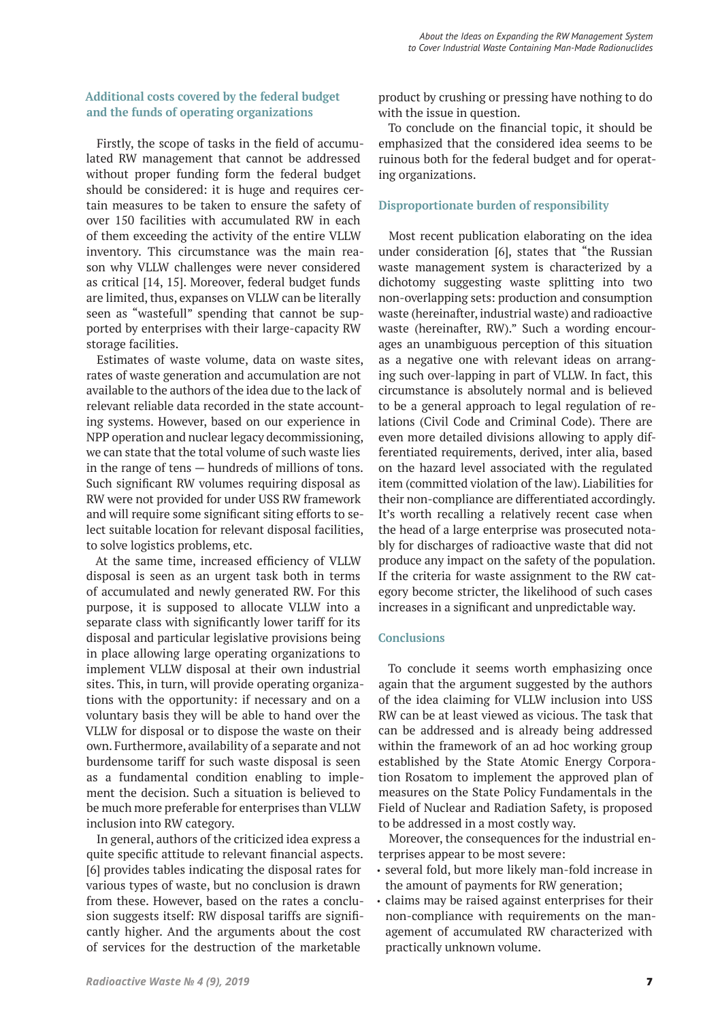# **Additional costs covered by the federal budget and the funds of operating organizations**

Firstly, the scope of tasks in the field of accumulated RW management that cannot be addressed without proper funding form the federal budget should be considered: it is huge and requires certain measures to be taken to ensure the safety of over 150 facilities with accumulated RW in each of them exceeding the activity of the entire VLLW inventory. This circumstance was the main reason why VLLW challenges were never considered as critical [14, 15]. Moreover, federal budget funds are limited, thus, expanses on VLLW can be literally seen as "wastefull" spending that cannot be supported by enterprises with their large-capacity RW storage facilities.

Estimates of waste volume, data on waste sites, rates of waste generation and accumulation are not available to the authors of the idea due to the lack of relevant reliable data recorded in the state accounting systems. However, based on our experience in NPP operation and nuclear legacy decommissioning, we can state that the total volume of such waste lies in the range of tens — hundreds of millions of tons. Such significant RW volumes requiring disposal as RW were not provided for under USS RW framework and will require some significant siting efforts to select suitable location for relevant disposal facilities, to solve logistics problems, etc.

At the same time, increased efficiency of VLLW disposal is seen as an urgent task both in terms of accumulated and newly generated RW. For this purpose, it is supposed to allocate VLLW into a separate class with significantly lower tariff for its disposal and particular legislative provisions being in place allowing large operating organizations to implement VLLW disposal at their own industrial sites. This, in turn, will provide operating organizations with the opportunity: if necessary and on a voluntary basis they will be able to hand over the VLLW for disposal or to dispose the waste on their own. Furthermore, availability of a separate and not burdensome tariff for such waste disposal is seen as a fundamental condition enabling to implement the decision. Such a situation is believed to be much more preferable for enterprises than VLLW inclusion into RW category.

In general, authors of the criticized idea express a quite specific attitude to relevant financial aspects. [6] provides tables indicating the disposal rates for various types of waste, but no conclusion is drawn from these. However, based on the rates a conclusion suggests itself: RW disposal tariffs are significantly higher. And the arguments about the cost of services for the destruction of the marketable

product by crushing or pressing have nothing to do with the issue in question.

To conclude on the financial topic, it should be emphasized that the considered idea seems to be ruinous both for the federal budget and for operating organizations.

# **Disproportionate burden of responsibility**

Most recent publication elaborating on the idea under consideration [6], states that "the Russian waste management system is characterized by a dichotomy suggesting waste splitting into two non-overlapping sets: production and consumption waste (hereinafter, industrial waste) and radioactive waste (hereinafter, RW)." Such a wording encourages an unambiguous perception of this situation as a negative one with relevant ideas on arranging such over-lapping in part of VLLW. In fact, this circumstance is absolutely normal and is believed to be a general approach to legal regulation of relations (Civil Code and Criminal Code). There are even more detailed divisions allowing to apply differentiated requirements, derived, inter alia, based on the hazard level associated with the regulated item (committed violation of the law). Liabilities for their non-compliance are differentiated accordingly. It's worth recalling a relatively recent case when the head of a large enterprise was prosecuted notably for discharges of radioactive waste that did not produce any impact on the safety of the population. If the criteria for waste assignment to the RW category become stricter, the likelihood of such cases increases in a significant and unpredictable way.

#### **Conclusions**

To conclude it seems worth emphasizing once again that the argument suggested by the authors of the idea claiming for VLLW inclusion into USS RW can be at least viewed as vicious. The task that can be addressed and is already being addressed within the framework of an ad hoc working group established by the State Atomic Energy Corporation Rosatom to implement the approved plan of measures on the State Policy Fundamentals in the Field of Nuclear and Radiation Safety, is proposed to be addressed in a most costly way.

Moreover, the consequences for the industrial enterprises appear to be most severe:

- several fold, but more likely man-fold increase in the amount of payments for RW generation;
- claims may be raised against enterprises for their non-compliance with requirements on the management of accumulated RW characterized with practically unknown volume.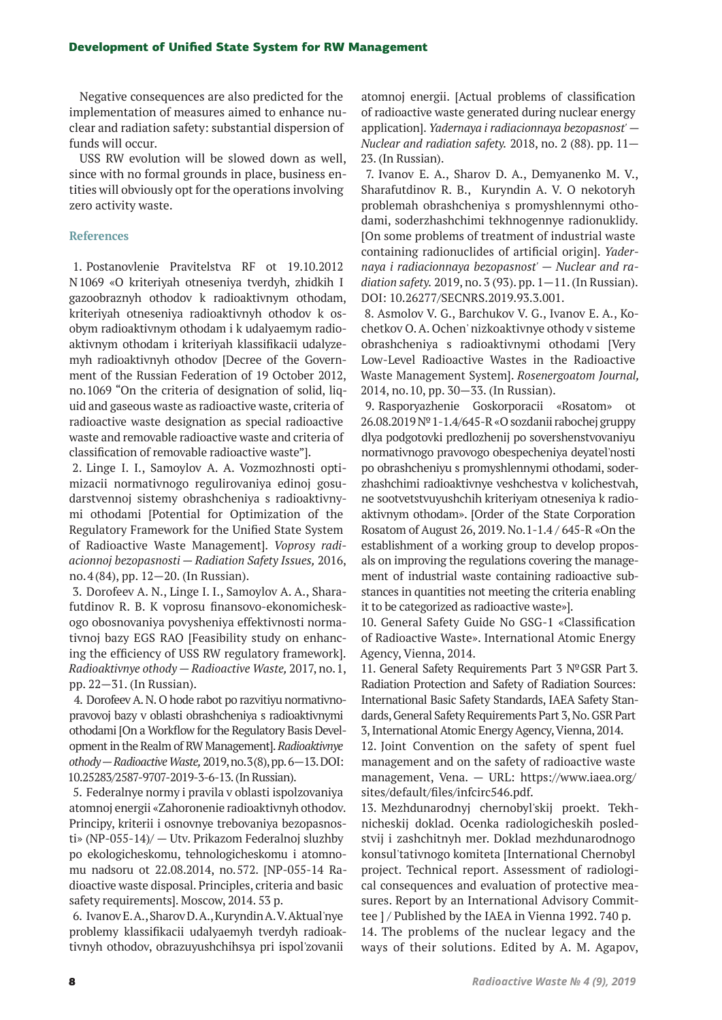Negative consequences are also predicted for the implementation of measures aimed to enhance nuclear and radiation safety: substantial dispersion of funds will occur.

USS RW evolution will be slowed down as well, since with no formal grounds in place, business entities will obviously opt for the operations involving zero activity waste.

### **References**

1. Postanovlenie Pravitelstva RF ot 19.10.2012 N1069 «О kriteriyah otneseniya tverdyh, zhidkih I gazoobraznyh othodov k radioaktivnym othodam, kriteriyah otneseniya radioaktivnyh othodov k osobym radioaktivnym othodam i k udalyaemym radioaktivnym othodam i kriteriyah klassifikacii udalyzemyh radioaktivnyh othodov [Decree of the Government of the Russian Federation of 19 October 2012, no. 1069 "On the criteria of designation of solid, liquid and gaseous waste as radioactive waste, criteria of radioactive waste designation as special radioactive waste and removable radioactive waste and criteria of classification of removable radioactive waste"].

2. Linge I. I., Samoylov A. A. Vozmozhnosti optimizacii normativnogo regulirovaniya edinoj gosudarstvennoj sistemy obrashcheniya s radioaktivnymi othodami [Potential for Optimization of the Regulatory Framework for the Unified State System of Radioactive Waste Management].*Voprosy radiacionnoj bezopasnosti — Radiation Safety Issues,* 2016, no. 4(84), pp. 12—20. (In Russian).

3. Dorofeev A. N., Linge I. I., Samoylov A. A., Sharafutdinov R. B. K voprosu finansovo-ekonomicheskogo obosnovaniya povysheniya effektivnosti normativnoj bazy EGS RAO [Feasibility study on enhancing the efficiency of USS RW regulatory framework]. *Radioaktivnye othody — Radioactive Waste,* 2017, no. 1, pp. 22—31. (In Russian).

4. Dorofeev A. N. O hode rabot po razvitiyu normativnopravovoj bazy v oblasti obrashcheniya s radioaktivnymi othodami [On a Workflow for the Regulatory Basis Development in the Realm of RW Management].*Radioaktivnye othody — Radioactive Waste,* 2019, no. 3(8), pp. 6—13. DOI: 10.25283/2587-9707-2019-3-6-13. (In Russian).

5. Federalnye normy i pravila v oblasti ispolzovaniya atomnoj energii «Zahoronenie radioaktivnyh othodov. Principy, kriterii i osnovnye trebovaniya bezopasnosti» (NP-055-14)/ — Utv. Prikazom Federalnoj sluzhby po ekologicheskomu, tehnologicheskomu i atomnomu nadsoru ot 22.08.2014, no. 572. [NP-055-14 Radioactive waste disposal. Principles, criteria and basic safety requirements]. Mosсow, 2014. 53 p.

6. Ivanov E. A., Sharov D. A., Kuryndin A. V. Aktual'nye problemy klassifikacii udalyaemyh tverdyh radioaktivnyh othodov, obrazuyushchihsya pri ispol'zovanii

atomnoj energii. [Actual problems of classification of radioactive waste generated during nuclear energy application].*Yadernaya i radiacionnaya bezopasnost' — Nuclear and radiation safety.* 2018, no. 2 (88). pp. 11— 23. (In Russian).

7. Ivanov E. A., Sharov D. A., Demyanenko M. V., Sharafutdinov R. B., Kuryndin A. V. O nekotoryh problemah obrashcheniya s promyshlennymi othodami, soderzhashchimi tekhnogennye radionuklidy. [On some problems of treatment of industrial waste containing radionuclides of artificial origin]. *Yadernaya i radiacionnaya bezopasnost' — Nuclear and radiation safety.* 2019, no. 3 (93). pp. 1—11. (In Russian). DOI: 10.26277/SECNRS.2019.93.3.001.

8. Asmolov V. G., Barchukov V. G., Ivanov E. A., Kochetkov O. A. Ochen' nizkoaktivnye othody v sisteme obrashcheniya s radioaktivnymi othodami [Very Low-Level Radioactive Wastes in the Radioactive Waste Management System].*Rosenergoatom Journal,*  2014, no. 10, pp. 30—33. (In Russian).

9. Rasporyazhenie Goskorporacii «Rosatom» ot 26.08.2019 №1-1.4/645-R «O sozdanii rabochej gruppy dlya podgotovki predlozhenij po sovershenstvovaniyu normativnogo pravovogo obespecheniya deyatel'nosti po obrashcheniyu s promyshlennymi othodami, soderzhashchimi radioaktivnye veshchestva v kolichestvah, ne sootvetstvuyushchih kriteriyam otneseniya k radioaktivnym othodam». [Order of the State Corporation Rosatom of August 26, 2019. No. 1-1.4 / 645-R «On the establishment of a working group to develop proposals on improving the regulations covering the management of industrial waste containing radioactive substances in quantities not meeting the criteria enabling it to be categorized as radioactive waste»].

10. General Safety Guide No GSG-1 «Classification of Radioactive Waste». International Atomic Energy Agency, Vienna, 2014.

11. General Safety Requirements Part 3 №GSR Part 3. Radiation Protection and Safety of Radiation Sources: International Basic Safety Standards, IAEA Safety Standards, General Safety Requirements Part 3, No. GSR Part 3, International Atomic Energy Agency, Vienna, 2014.

12. Joint Convention on the safety of spent fuel management and on the safety of radioactive waste management, Vena. — URL: https://www.iaea.org/ sites/default/files/infcirc546.pdf.

13. Mezhdunarodnyj chernobyl'skij proekt. Tekhnicheskij doklad. Ocenka radiologicheskih posledstvij i zashchitnyh mer. Doklad mezhdunarodnogo konsul'tativnogo komiteta [International Chernobyl project. Technical report. Assessment of radiological consequences and evaluation of protective measures. Report by an International Advisory Committee ] / Published by the IAEA in Vienna 1992. 740 p.

14. The problems of the nuclear legacy and the ways of their solutions. Edited by A. M. Agapov,